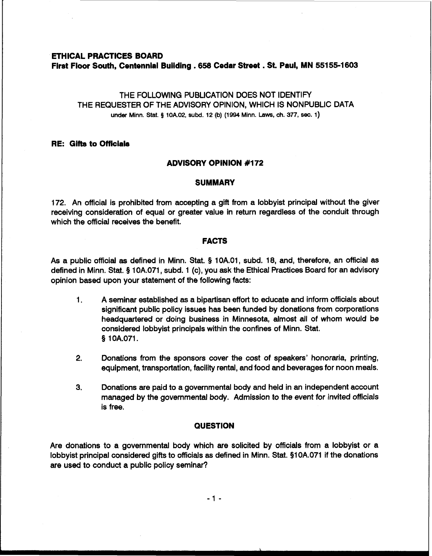### **ETHICAL PRACTICES BOARD**

**First Floor South, Centennial Building .658 Cedar Street** . **St. Paul, MN 55155-1603** 

THE FOLLOWING PUBLICATION DOES NOT IDENTIFY THE REQUESTER OF THE ADVISORY OPINION, WHICH IS NONPUBLIC DATA **under Minn.** Stat. **9 iOA.02, subd. 12 (b) (1994 Minn. Laws, ch. 377, sec. 1)** 

# **RE: Gifts to Officials**

## **ADVISORY OPINION #I72**

### **SUMMARY**

172. An official is prohibited from accepting a gift from a lobbyist principal without the giver receiving consideration of equal or greater value in return regardless of the conduit through which the official receives the benefit.

## **FACTS**

As a public official as defined in Minn. Stat. § 10A.01, subd. 18, and, therefore, an official as defined in Minn. Stat. § 10A.071, subd. 1 (c), you ask the Ethical Practices Board for an advisory opinion based upon your statement of the following facts:

- 1. A seminar established as a bipartisan effort to educate and inform officials about significant public policy issues has been funded by donations from corporations headquartered or doing business in Minnesota, almost all of whom would be considered lobbyist principals within the confines of Minn. Stat. 9 1 OA.071.
- **2.** Donations from the sponsors cover the cost of speakers' honoraria, printing, equipment, transportation, facility rental, and food and beverages for noon meals.
- **3.** Donations are paid to a governmental body and held in an independent account managed by the governmental body. Admission to the event for invited officials is free.

# **QUESTION**

Are donations to a governmental body which are solicited by officials from a lobbyist or a lobbyist principal considered gifts to officials **as** defined in Minn. Stat. 91 0A.071 if the donations are used to conduct a public policy seminar?

 $-1 -$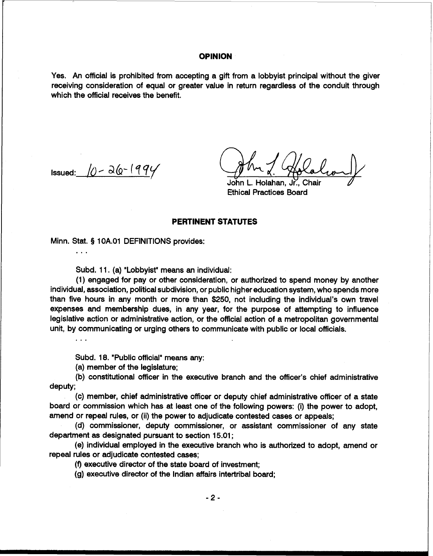### **OPINION**

Yes. An official is prohibited from accepting a gift from a lobbyist principal without the giver receiving consideration of equal or greater value in return regardless of the conduit through which the official receives the benefit.

Issued:  $\sqrt{0} - \frac{\partial (0 - 199)}{\partial \theta}$ 

. . .

. . .

John L. Holahan. Jr., Chair Ethical Practices Board

## **PERTINENT STATUTES**

Minn. Stat. § 10A.01 DEFINITIONS provides:

Subd. 11. (a) "Lobbyist" means an individual:

(1) engaged for pay or other consideration, or authorized to spend money by another individual, association, political subdivision, or public higher education system, who spends more than five hours in any month or more than \$250, not including the individual's own travel expenses and membership dues, in any year, for the purpose of attempting to influence legislative action or administrative action, or the official action of a metropolitan governmental unit, by communicating or urging others to communicate with public or local officials.

Subd. 18. "Public official" means any:

(a) member of the legislature;

(b) constitutional officer in the executive branch and the officer's chief administrative deputy;

(c) member, chief administrative officer or deputy chief administrative officer of a state board or commission which has at least one of the following powers: (i) the power to adopt, amend or repeal rules, or (ii) the power to adjudicate contested cases or appeals;

(d) commissioner, deputy commissioner, or assistant commissioner of any state department as designated pursuant to section 15.01 ;

(e) individual employed in the executive branch who is authorized to adopt, amend or repeal rules or adjudicate contested cases;

(f) executive director of the state board of investment;

(g) executive director of the Indian affairs intertribal board;

 $-2-$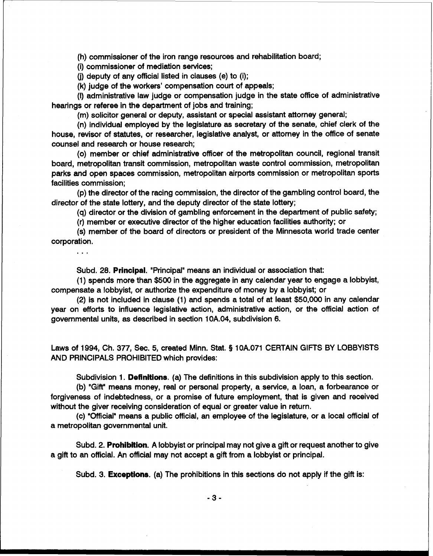(h) commissioner of the iron range resources and rehabilitation board;

(i) commissioner of mediation services;

**(j)** deputy of any official listed in clauses (e) to (i);

(k) judge of the workers' compensation court of appeals;

(I) administrative law judge or compensation judge in the state office of administrative hearings or referee in the department of jobs and training;

(m) solicitor general or deputy, assistant or special assistant attorney general;

(n) individual employed by the legislature as secretary of the senate, chief clerk of the house, revisor of statutes, or researcher, legislative analyst, or attorney in the office of senate counsel and research or house research;

(0) member or chief administrative officer of the metropolitan council, regional transit board, metropolitan transit commission, metropolitan waste control commission, metropolitan parks and open spaces commission, metropolitan airports commission or metropolitan sports facilities commission;

(p) the director of the racing commission, the director of the gambling control board, the director of the state lottery, and the deputy director of the state lottery;

(q) director or the division of gambling enforcement in the department of public safety;

(r) member or executive director of the higher education facilities authority; or

(s) member of the board of directors or president of the Minnesota world trade center corporation.

 $\ddotsc$ 

Subd. 28. **Principal.** "Principal" means an individual or association that:

(1) spends more than \$500 in the aggregate in any calendar year to engage a lobbyist, compensate a lobbyist, or authorize the expenditure of money by a lobbyist; or

(2) is not included in clause (1) and spends a total of at least \$50,000 in any calendar year on efforts to influence legislative action, administrative action, or the official action of governmental units, as described in section 10A.04, subdivision 6.

Laws of 1994, Ch. 377, Sec. 5, created Minn. Stat. § 10A.071 CERTAIN GIFTS BY LOBBYISTS AND PRINCIPALS PROHIBITED which provides:

Subdivision 1. **Definitions.** (a) The definitions in this subdivision apply to this section.

(b) "Gift"means money, real or personal property, a service, a loan, a forbearance or forgiveness of indebtedness, or a promise of future employment, that is given and received without the giver receiving consideration of equal or greater value in return.

(c) '0fficial"means a public official, an employee of the legislature, or a local official of a metropolitan governmental unit.

Subd. 2. **Prohibition.** A lobbyist or principal may not give a gift or request another to give a gift to an official. An official may not accept a gift from a lobbyist or principal.

Subd. 3. **Exceptions.** (a) The prohibitions in this sections do not apply if the gift is: